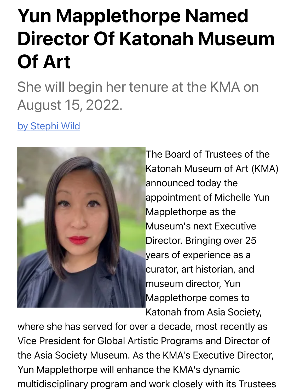## Yun Mapplethorpe Named Director Of Katonah Museum Of Art

## She will begin her tenure at the KMA on [August 15](https://www.broadwayworld.com/author/Stephi-Wild), 2022.

by Stephi Wild



The Board of Trustees of the Katonah Museum of Art (KMA) announced today the appointment of Michelle Yun Mapplethorpe as the Museum's next Executive Director. Bringing over 25 years of experience as a curator, art historian, and museum director, Yun Mapplethorpe comes to Katonah from Asia Society,

where she has served for over a decade, most recently as Vice President for Global Artistic Programs and Director of the Asia Society Museum. As the KMA's Executive Director, Yun Mapplethorpe will enhance the KMA's dynamic multidisciplinary program and work closely with its Trustees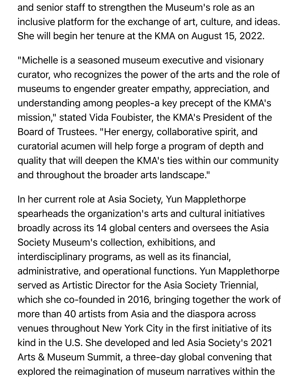and senior staff to strengthen the Museum's role as an inclusive platform for the exchange of art, culture, and ideas. She will begin her tenure at the KMA on August 15, 2022.

"Michelle is a seasoned museum executive and visionary curator, who recognizes the power of the arts and the role of museums to engender greater empathy, appreciation, and understanding among peoples-a key precept of the KMA's mission," stated Vida Foubister, the KMA's President of the Board of Trustees. "Her energy, collaborative spirit, and curatorial acumen will help forge a program of depth and quality that will deepen the KMA's ties within our community and throughout the broader arts landscape."

In her current role at Asia Society, Yun Mapplethorpe spearheads the organization's arts and cultural initiatives broadly across its 14 global centers and oversees the Asia Society Museum's collection, exhibitions, and interdisciplinary programs, as well as its financial, administrative, and operational functions. Yun Mapplethorpe served as Artistic Director for the Asia Society Triennial, which she co-founded in 2016, bringing together the work of more than 40 artists from Asia and the diaspora across venues throughout New York City in the first initiative of its kind in the U.S. She developed and led Asia Society's 2021 Arts & Museum Summit, a three-day global convening that explored the reimagination of museum narratives within the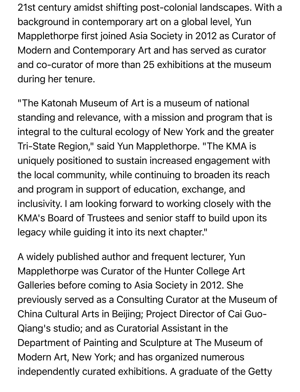21st century amidst shifting post-colonial landscapes. With a background in contemporary art on a global level, Yun Mapplethorpe first joined Asia Society in 2012 as Curator of Modern and Contemporary Art and has served as curator and co-curator of more than 25 exhibitions at the museum during her tenure.

"The Katonah Museum of Art is a museum of national standing and relevance, with a mission and program that is integral to the cultural ecology of New York and the greater Tri-State Region," said Yun Mapplethorpe. "The KMA is uniquely positioned to sustain increased engagement with the local community, while continuing to broaden its reach and program in support of education, exchange, and inclusivity. I am looking forward to working closely with the KMA's Board of Trustees and senior staff to build upon its legacy while guiding it into its next chapter."

A widely published author and frequent lecturer, Yun Mapplethorpe was Curator of the Hunter College Art Galleries before coming to Asia Society in 2012. She previously served as a Consulting Curator at the Museum of China Cultural Arts in Beijing; Project Director of Cai Guo-Qiang's studio; and as Curatorial Assistant in the Department of Painting and Sculpture at The Museum of Modern Art, New York; and has organized numerous independently curated exhibitions. A graduate of the Getty